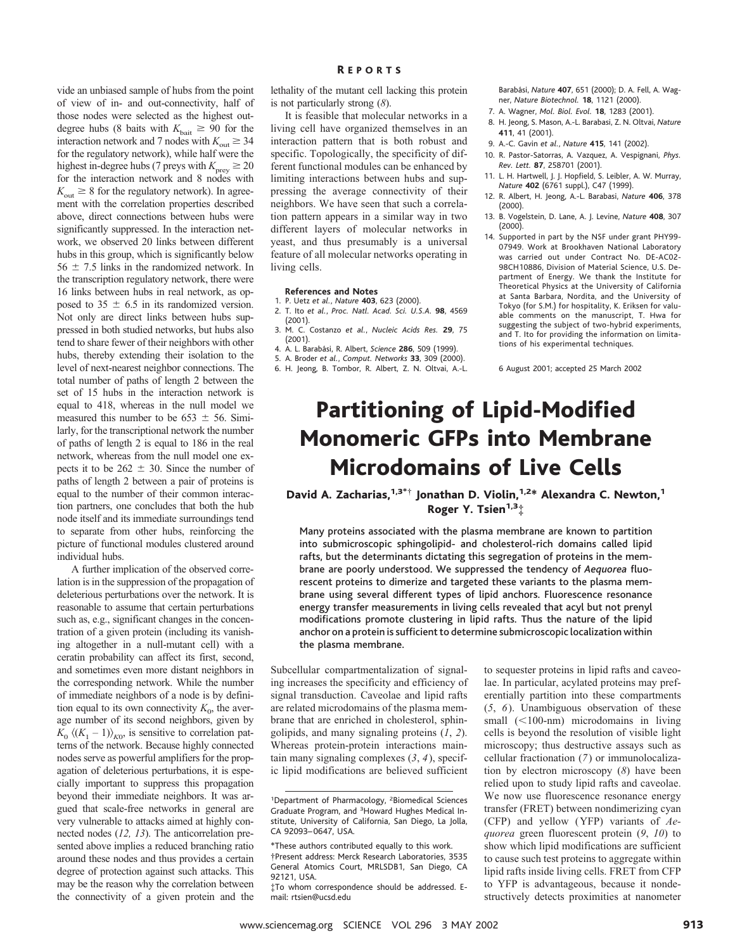vide an unbiased sample of hubs from the point of view of in- and out-connectivity, half of those nodes were selected as the highest outdegree hubs (8 baits with  $K_{\text{bait}} \geq 90$  for the interaction network and 7 nodes with  $K_{\text{out}} \geq 34$ for the regulatory network), while half were the highest in-degree hubs (7 preys with  $K_{\text{prev}} \ge 20$ for the interaction network and 8 nodes with  $K<sub>out</sub> \geq 8$  for the regulatory network). In agreement with the correlation properties described above, direct connections between hubs were significantly suppressed. In the interaction network, we observed 20 links between different hubs in this group, which is significantly below  $56 \pm 7.5$  links in the randomized network. In the transcription regulatory network, there were 16 links between hubs in real network, as opposed to 35  $\pm$  6.5 in its randomized version. Not only are direct links between hubs suppressed in both studied networks, but hubs also tend to share fewer of their neighbors with other hubs, thereby extending their isolation to the level of next-nearest neighbor connections. The total number of paths of length 2 between the set of 15 hubs in the interaction network is equal to 418, whereas in the null model we measured this number to be 653  $\pm$  56. Similarly, for the transcriptional network the number of paths of length 2 is equal to 186 in the real network, whereas from the null model one expects it to be  $262 \pm 30$ . Since the number of paths of length 2 between a pair of proteins is equal to the number of their common interaction partners, one concludes that both the hub node itself and its immediate surroundings tend to separate from other hubs, reinforcing the picture of functional modules clustered around individual hubs.

A further implication of the observed correlation is in the suppression of the propagation of deleterious perturbations over the network. It is reasonable to assume that certain perturbations such as, e.g., significant changes in the concentration of a given protein (including its vanishing altogether in a null-mutant cell) with a ceratin probability can affect its first, second, and sometimes even more distant neighbors in the corresponding network. While the number of immediate neighbors of a node is by definition equal to its own connectivity  $K_0$ , the average number of its second neighbors, given by  $K_0 \langle (K_1 - 1) \rangle_{K0}$ , is sensitive to correlation patterns of the network. Because highly connected nodes serve as powerful amplifiers for the propagation of deleterious perturbations, it is especially important to suppress this propagation beyond their immediate neighbors. It was argued that scale-free networks in general are very vulnerable to attacks aimed at highly connected nodes (*12, 13*). The anticorrelation presented above implies a reduced branching ratio around these nodes and thus provides a certain degree of protection against such attacks. This may be the reason why the correlation between the connectivity of a given protein and the

#### R EPORTS

lethality of the mutant cell lacking this protein is not particularly strong (*8*).

It is feasible that molecular networks in a living cell have organized themselves in an interaction pattern that is both robust and specific. Topologically, the specificity of different functional modules can be enhanced by limiting interactions between hubs and suppressing the average connectivity of their neighbors. We have seen that such a correlation pattern appears in a similar way in two different layers of molecular networks in yeast, and thus presumably is a universal feature of all molecular networks operating in living cells.

#### **References and Notes**

- 1. P. Uetz *et al.*, *Nature* **403**, 623 (2000). 2. T. Ito *et al.*, *Proc. Natl. Acad. Sci. U.S.A.* **98**, 4569 (2001).
- 3. M. C. Costanzo *et al.*, *Nucleic Acids Res.* **29**, 75 (2001).
- 4. A. L. Baraba´si, R. Albert, *Science* **286**, 509 (1999).
- 5. A. Broder *et al.*, *Comput. Networks* **33**, 309 (2000).
- 6. H. Jeong, B. Tombor, R. Albert, Z. N. Oltvai, A.-L.

Barabási. *Nature* **407**, 651 (2000); D. A. Fell, A. Wagner, *Nature Biotechnol.* **18**, 1121 (2000).

- 7. A. Wagner, *Mol. Biol. Evol.* **18**, 1283 (2001).
- 8. H. Jeong, S. Mason, A.-L. Barabasi, Z. N. Oltvai, *Nature* **411**, 41 (2001).
- 9. A.-C. Gavin *et al.*, *Nature* **415**, 141 (2002).
- 10. R. Pastor-Satorras, A. Vazquez, A. Vespignani, *Phys. Rev. Lett.* **87**, 258701 (2001).
- 11. L. H. Hartwell, J. J. Hopfield, S. Leibler, A. W. Murray, *Nature* **402** (6761 suppl.), C47 (1999).
- 12. R. Albert, H. Jeong, A.-L. Barabasi, *Nature* **406**, 378 (2000).
- 13. B. Vogelstein, D. Lane, A. J. Levine, *Nature* **408**, 307 (2000).
- 14. Supported in part by the NSF under grant PHY99- 07949. Work at Brookhaven National Laboratory was carried out under Contract No. DE-AC02- 98CH10886, Division of Material Science, U.S. Department of Energy. We thank the Institute for Theoretical Physics at the University of California at Santa Barbara, Nordita, and the University of Tokyo (for S.M.) for hospitality, K. Eriksen for valuable comments on the manuscript, T. Hwa for suggesting the subject of two-hybrid experiments, and T. Ito for providing the information on limitations of his experimental techniques.

6 August 2001; accepted 25 March 2002

# Partitioning of Lipid-Modified Monomeric GFPs into Membrane Microdomains of Live Cells

### David A. Zacharias,<sup>1,3\*†</sup> Jonathan D. Violin,<sup>1,2\*</sup> Alexandra C. Newton,<sup>1</sup> Roger Y. Tsien<sup>1,3+</sup>

Many proteins associated with the plasma membrane are known to partition into submicroscopic sphingolipid- and cholesterol-rich domains called lipid rafts, but the determinants dictating this segregation of proteins in the membrane are poorly understood. We suppressed the tendency of *Aequorea* fluorescent proteins to dimerize and targeted these variants to the plasma membrane using several different types of lipid anchors. Fluorescence resonance energy transfer measurements in living cells revealed that acyl but not prenyl modifications promote clustering in lipid rafts. Thus the nature of the lipid anchor on a protein is sufficient to determine submicroscopic localization within the plasma membrane.

Subcellular compartmentalization of signaling increases the specificity and efficiency of signal transduction. Caveolae and lipid rafts are related microdomains of the plasma membrane that are enriched in cholesterol, sphingolipids, and many signaling proteins (*1*, *2*). Whereas protein-protein interactions maintain many signaling complexes (*3*, *4*), specific lipid modifications are believed sufficient

to sequester proteins in lipid rafts and caveolae. In particular, acylated proteins may preferentially partition into these compartments (*5*, *6*). Unambiguous observation of these small  $(<100-nm)$  microdomains in living cells is beyond the resolution of visible light microscopy; thus destructive assays such as cellular fractionation (*7*) or immunolocalization by electron microscopy (*8*) have been relied upon to study lipid rafts and caveolae. We now use fluorescence resonance energy transfer (FRET) between nondimerizing cyan (CFP) and yellow (YFP) variants of *Aequorea* green fluorescent protein (*9*, *10*) to show which lipid modifications are sufficient to cause such test proteins to aggregate within lipid rafts inside living cells. FRET from CFP to YFP is advantageous, because it nondestructively detects proximities at nanometer

<sup>&</sup>lt;sup>1</sup>Department of Pharmacology, <sup>2</sup>Biomedical Sciences Graduate Program, and <sup>3</sup>Howard Hughes Medical Institute, University of California, San Diego, La Jolla, CA 92093– 0647, USA.

<sup>\*</sup>These authors contributed equally to this work.

<sup>†</sup>Present address: Merck Research Laboratories, 3535 General Atomics Court, MRLSDB1, San Diego, CA 92121, USA.

<sup>‡</sup>To whom correspondence should be addressed. Email: rtsien@ucsd.edu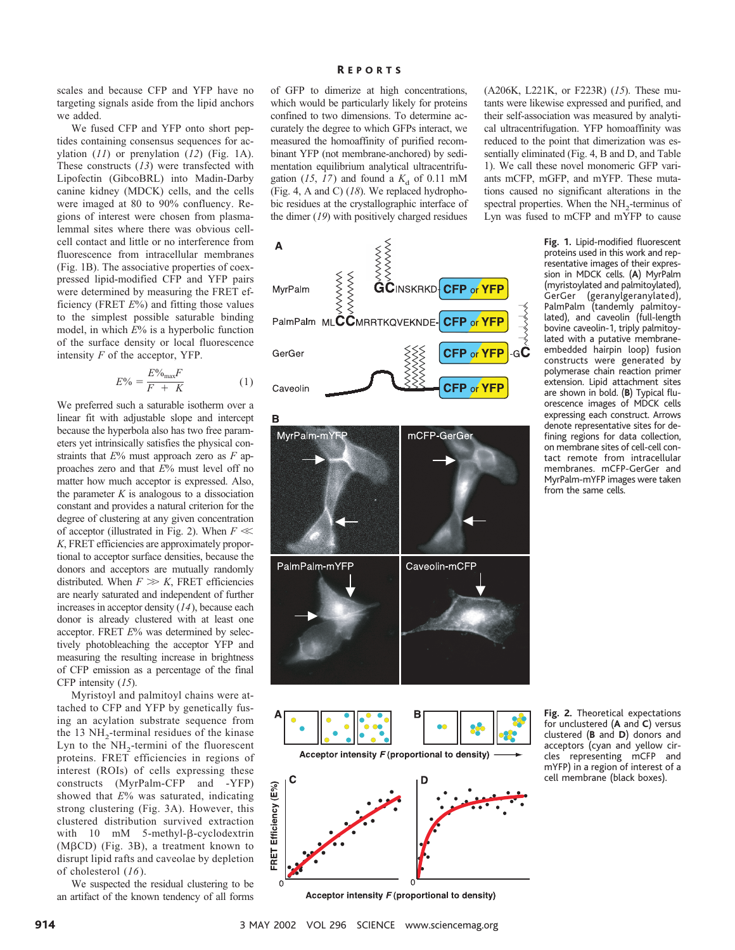scales and because CFP and YFP have no targeting signals aside from the lipid anchors we added.

We fused CFP and YFP onto short peptides containing consensus sequences for acylation (*11*) or prenylation (*12*) (Fig. 1A). These constructs (*13*) were transfected with Lipofectin (GibcoBRL) into Madin-Darby canine kidney (MDCK) cells, and the cells were imaged at 80 to 90% confluency. Regions of interest were chosen from plasmalemmal sites where there was obvious cellcell contact and little or no interference from fluorescence from intracellular membranes (Fig. 1B). The associative properties of coexpressed lipid-modified CFP and YFP pairs were determined by measuring the FRET efficiency (FRET *E*%) and fitting those values to the simplest possible saturable binding model, in which *E*% is a hyperbolic function of the surface density or local fluorescence intensity *F* of the acceptor, YFP.

$$
E\% = \frac{E\%_{\text{max}}F}{F + K} \tag{1}
$$

We preferred such a saturable isotherm over a linear fit with adjustable slope and intercept because the hyperbola also has two free parameters yet intrinsically satisfies the physical constraints that *E*% must approach zero as *F* approaches zero and that *E*% must level off no matter how much acceptor is expressed. Also, the parameter  $K$  is analogous to a dissociation constant and provides a natural criterion for the degree of clustering at any given concentration of acceptor (illustrated in Fig. 2). When  $F \ll$ *K*, FRET efficiencies are approximately proportional to acceptor surface densities, because the donors and acceptors are mutually randomly distributed. When  $F \gg K$ , FRET efficiencies are nearly saturated and independent of further increases in acceptor density (*14*), because each donor is already clustered with at least one acceptor. FRET *E*% was determined by selectively photobleaching the acceptor YFP and measuring the resulting increase in brightness of CFP emission as a percentage of the final CFP intensity (*15*).

Myristoyl and palmitoyl chains were attached to CFP and YFP by genetically fusing an acylation substrate sequence from the 13  $NH<sub>2</sub>$ -terminal residues of the kinase Lyn to the  $NH_2$ -termini of the fluorescent proteins. FRET efficiencies in regions of interest (ROIs) of cells expressing these constructs (MyrPalm-CFP and -YFP) showed that *E*% was saturated, indicating strong clustering (Fig. 3A). However, this clustered distribution survived extraction with  $10 \text{ mM}$  5-methyl- $\beta$ -cyclodextrin ( $M\beta$ CD) (Fig. 3B), a treatment known to disrupt lipid rafts and caveolae by depletion of cholesterol (*16*).

We suspected the residual clustering to be an artifact of the known tendency of all forms

#### R EPORTS

of GFP to dimerize at high concentrations, which would be particularly likely for proteins confined to two dimensions. To determine accurately the degree to which GFPs interact, we measured the homoaffinity of purified recombinant YFP (not membrane-anchored) by sedimentation equilibrium analytical ultracentrifugation (15, 17) and found a  $K_d$  of 0.11 mM (Fig. 4, A and C) (*18*). We replaced hydrophobic residues at the crystallographic interface of the dimer (*19*) with positively charged residues

A MyrPalm PalmPalm MLCCMRRTKQVEKNDE **CFP or YFF** CFP or YFP С GerGer **CFP or YFP** Caveolin





Acceptor intensity F (proportional to density)

(A206K, L221K, or F223R) (*15*). These mutants were likewise expressed and purified, and their self-association was measured by analytical ultracentrifugation. YFP homoaffinity was reduced to the point that dimerization was essentially eliminated (Fig. 4, B and D, and Table 1). We call these novel monomeric GFP variants mCFP, mGFP, and mYFP. These mutations caused no significant alterations in the spectral properties. When the  $NH<sub>2</sub>$ -terminus of Lyn was fused to mCFP and mYFP to cause

> **Fig. 1.** Lipid-modified fluorescent proteins used in this work and representative images of their expression in MDCK cells. (**A**) MyrPalm (myristoylated and palmitoylated), GerGer (geranylgeranylated), PalmPalm (tandemly palmitoylated), and caveolin (full-length bovine caveolin-1, triply palmitoylated with a putative membraneembedded hairpin loop) fusion constructs were generated by polymerase chain reaction primer extension. Lipid attachment sites are shown in bold. (**B**) Typical fluorescence images of MDCK cells expressing each construct. Arrows denote representative sites for defining regions for data collection, on membrane sites of cell-cell contact remote from intracellular membranes. mCFP-GerGer and MyrPalm-mYFP images were taken from the same cells.

> **Fig. 2.** Theoretical expectations for unclustered (**A** and **C**) versus clustered (**B** and **D**) donors and acceptors (cyan and yellow circles representing mCFP and mYFP) in a region of interest of a cell membrane (black boxes).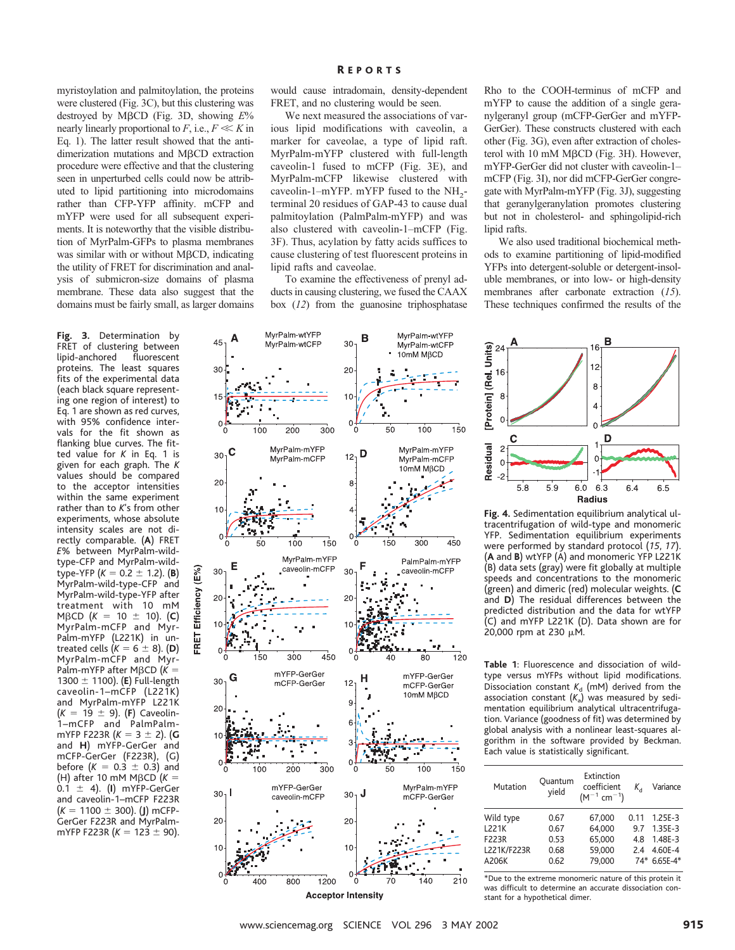myristoylation and palmitoylation, the proteins were clustered (Fig. 3C), but this clustering was destroyed by M<sub>B</sub>CD (Fig. 3D, showing  $E\%$ nearly linearly proportional to  $F$ , i.e.,  $F \ll K$  in Eq. 1). The latter result showed that the antidimerization mutations and MBCD extraction procedure were effective and that the clustering seen in unperturbed cells could now be attributed to lipid partitioning into microdomains rather than CFP-YFP affinity. mCFP and mYFP were used for all subsequent experiments. It is noteworthy that the visible distribution of MyrPalm-GFPs to plasma membranes was similar with or without  $M\beta$ CD, indicating the utility of FRET for discrimination and analysis of submicron-size domains of plasma membrane. These data also suggest that the domains must be fairly small, as larger domains

**Fig. 3.** Determination by FRET of clustering between lipid-anchored fluorescent proteins. The least squares fits of the experimental data (each black square representing one region of interest) to Eq. 1 are shown as red curves, with 95% confidence intervals for the fit shown as flanking blue curves. The fitted value for *K* in Eq. 1 is given for each graph. The *K* values should be compared to the acceptor intensities within the same experiment rather than to *K*'s from other experiments, whose absolute intensity scales are not directly comparable. (**A**) FRET *E*% between MyrPalm-wildtype-CFP and MyrPalm-wild $type-YFP$  ( $K = 0.2 \pm 1.2$ ). (**B**) MyrPalm-wild-type-CFP and MyrPalm-wild-type-YFP after treatment with 10 mM  $M\beta$ CD (*K* = 10  $\pm$  10). (**C**) MyrPalm-mCFP and Myr-Palm-mYFP (L221K) in untreated cells  $(K = 6 \pm 8)$ . (**D**) MyrPalm-mCFP and Myr-Palm-mYFP after M $\beta$ CD ( $K =$ 1300  $\pm$  1100). (**E**) Full-length caveolin-1–mCFP (L221K) and MyrPalm-mYFP L221K  $(K = 19 \pm 9)$ . (**F**) Caveolin-1–mCFP and PalmPalmmYFP F223R  $(K = 3 \pm 2)$ . (**G** and **H**) mYFP-GerGer and mCFP-GerGer (F223R), (G) before  $(K = 0.3 \pm 0.3)$  and (H) after 10 mM M $\beta$ CD ( $K =$  $0.1 \pm 4$ ). (**I**) mYFP-GerGer and caveolin-1–mCFP F223R  $(K = 1100 \pm 300)$ . (**J**) mCFP-GerGer F223R and MyrPalmmYFP F223R  $(K = 123 \pm 90)$ .

would cause intradomain, density-dependent FRET, and no clustering would be seen.

We next measured the associations of various lipid modifications with caveolin, a marker for caveolae, a type of lipid raft. MyrPalm-mYFP clustered with full-length caveolin-1 fused to mCFP (Fig. 3E), and MyrPalm-mCFP likewise clustered with caveolin-1–mYFP. mYFP fused to the  $NH<sub>2</sub>$ terminal 20 residues of GAP-43 to cause dual palmitoylation (PalmPalm-mYFP) and was also clustered with caveolin-1–mCFP (Fig. 3F). Thus, acylation by fatty acids suffices to cause clustering of test fluorescent proteins in lipid rafts and caveolae.

To examine the effectiveness of prenyl adducts in causing clustering, we fused the CAAX box (*12*) from the guanosine triphosphatase

Rho to the COOH-terminus of mCFP and mYFP to cause the addition of a single geranylgeranyl group (mCFP-GerGer and mYFP-GerGer). These constructs clustered with each other (Fig. 3G), even after extraction of cholesterol with 10 mM M $\beta$ CD (Fig. 3H). However, mYFP-GerGer did not cluster with caveolin-1– mCFP (Fig. 3I), nor did mCFP-GerGer congregate with MyrPalm-mYFP (Fig. 3J), suggesting that geranylgeranylation promotes clustering but not in cholesterol- and sphingolipid-rich lipid rafts.

We also used traditional biochemical methods to examine partitioning of lipid-modified YFPs into detergent-soluble or detergent-insoluble membranes, or into low- or high-density membranes after carbonate extraction (*15*). These techniques confirmed the results of the





**Fig. 4.** Sedimentation equilibrium analytical ultracentrifugation of wild-type and monomeric YFP. Sedimentation equilibrium experiments were performed by standard protocol (*15*, *17*). (**A** and **B**) wtYFP (A) and monomeric YFP L221K (B) data sets (gray) were fit globally at multiple speeds and concentrations to the monomeric (green) and dimeric (red) molecular weights. (**C** and **D**) The residual differences between the predicted distribution and the data for wtYFP (C) and mYFP L221K (D). Data shown are for 20,000 rpm at 230  $\mu$ M.

**Table 1**: Fluorescence and dissociation of wildtype versus mYFPs without lipid modifications. Dissociation constant  $K_d$  (mM) derived from the association constant  $(K_a)$  was measured by sedimentation equilibrium analytical ultracentrifugation. Variance (goodness of fit) was determined by global analysis with a nonlinear least-squares algorithm in the software provided by Beckman. Each value is statistically significant.

| Mutation     | Quantum<br>vield | Extinction<br>coefficient<br>$(M^{-1}$ cm <sup>-1</sup> ) | K,   | Variance     |
|--------------|------------------|-----------------------------------------------------------|------|--------------|
| Wild type    | 0.67             | 67.000                                                    | 0.11 | $1.25E - 3$  |
| <b>L221K</b> | 0.67             | 64.000                                                    | 9.7  | $1.35E - 3$  |
| F223R        | 0.53             | 65,000                                                    | 4.8  | $1.48E - 3$  |
| L221K/F223R  | 0.68             | 59.000                                                    | 7.4  | 4.60E-4      |
| A206K        | 0.62             | 79.000                                                    |      | 74* 6.65E-4* |

\*Due to the extreme monomeric nature of this protein it was difficult to determine an accurate dissociation constant for a hypothetical dimer.